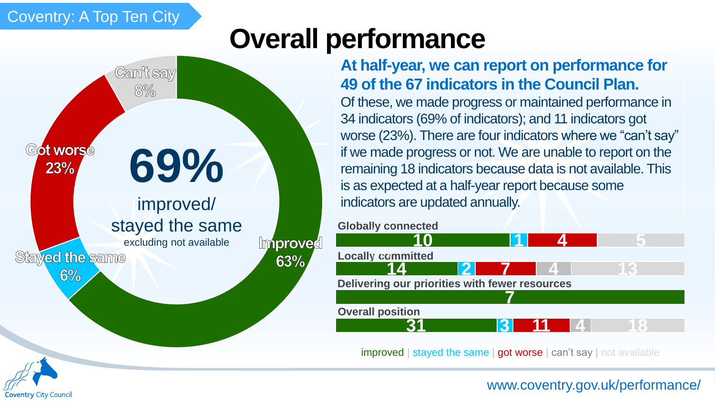# Coventry: A Top Ten City

# **Overall performance**



## **At half-year, we can report on performance for 49 of the 67 indicators in the Council Plan.**

Of these, we made progress or maintained performance in 34 indicators (69% of indicators); and 11 indicators got worse (23%). There are four indicators where we "can't say" if we made progress or not. We are unable to report on the remaining 18 indicators because data is not available. This is as expected at a half-year report because some indicators are updated annually.





improved | stayed the same | got worse | can't say | not available



#### [www.coventry.gov.uk/performance/](http://www.coventry.gov.uk/performance/)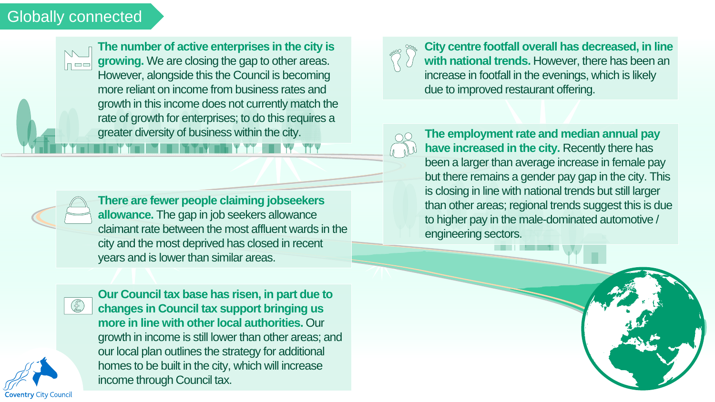#### Globally connected



**The number of active enterprises in the city is example 20 Section 20 Section 20 Section 20 Section 20 Section 20 Section 20 Section 20 Section 20 Section 20 Section 20 Section 20 Section 20 Section 20 Section 20 Section The number of active enterprises in the city is**  However, alongside this the Council is becoming more reliant on income from business rates and growth in this income does not currently match the rate of growth for enterprises; to do this requires a greater diversity of business within the city.



**There are fewer people claiming jobseekers allowance.** The gap in job seekers allowance claimant rate between the most affluent wards in the city and the most deprived has closed in recent years and is lower than similar areas.



**Coventry City Council** 

**Our Council tax base has risen, in part due to changes in Council tax support bringing us more in line with other local authorities.** Our growth in income is still lower than other areas; and our local plan outlines the strategy for additional homes to be built in the city, which will increase income through Council tax.



**City centre footfall overall has decreased, in line with national trends.** However, there has been an increase in footfall in the evenings, which is likely due to improved restaurant offering.



**The employment rate and median annual pay have increased in the city.** Recently there has been a larger than average increase in female pay but there remains a gender pay gap in the city. This is closing in line with national trends but still larger than other areas; regional trends suggest this is due to higher pay in the male-dominated automotive / engineering sectors.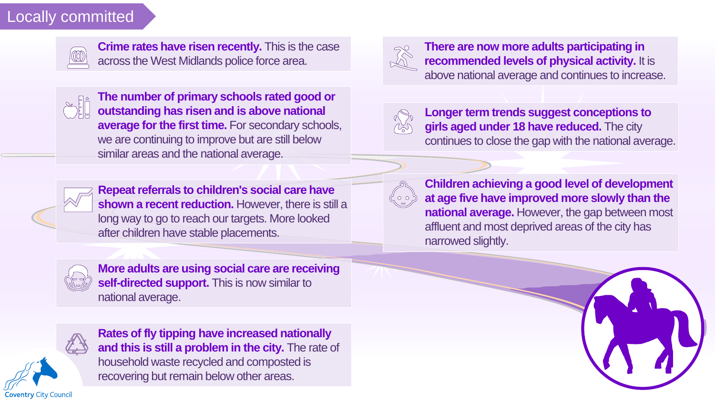### Locally committed



**Locally committed in the case**<br> **Locallands police force area.** There are now more<br> **Locally commended level**<br> **Locally commended level Crime rates have risen recently.** This is the case across the West Midlands police force area.



**The number of primary schools rated good or outstanding has risen and is above national average for the first time.** For secondary schools, we are continuing to improve but are still below similar areas and the national average.



**Repeat referrals to children's social care have shown a recent reduction.** However, there is still a long way to go to reach our targets. More looked after children have stable placements.



**More adults are using social care are receiving self-directed support.** This is now similar to national average.



**Rates of fly tipping have increased nationally and this is still a problem in the city.** The rate of household waste recycled and composted is recovering but remain below other areas.



**There are now more adults participating in recommended levels of physical activity.** It is above national average and continues to increase.



**Longer term trends suggest conceptions to girls aged under 18 have reduced.** The city continues to close the gap with the national average.



**Children achieving a good level of development at age five have improved more slowly than the national average.** However, the gap between most affluent and most deprived areas of the city has narrowed slightly.